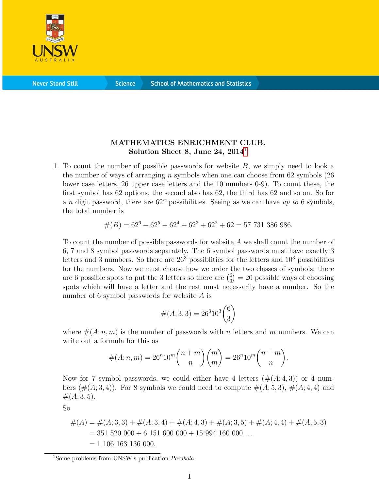

**Science** 

## MATHEMATICS ENRICHMENT CLUB. Solution Sheet 8, June 24,  $2014<sup>1</sup>$  $2014<sup>1</sup>$  $2014<sup>1</sup>$

1. To count the number of possible passwords for website B, we simply need to look a the number of ways of arranging n symbols when one can choose from  $62$  symbols  $(26$ lower case letters, 26 upper case letters and the 10 numbers 0-9). To count these, the first symbol has 62 options, the second also has 62, the third has 62 and so on. So for a n digit password, there are  $62<sup>n</sup>$  possibilities. Seeing as we can have up to 6 symbols, the total number is

$$
#(B) = 62^{6} + 62^{5} + 62^{4} + 62^{3} + 62^{2} + 62 = 57 731 386 986.
$$

To count the number of possible passwords for website A we shall count the number of 6, 7 and 8 symbol passwords separately. The 6 symbol passwords must have exactly 3 letters and 3 numbers. So there are  $26<sup>3</sup>$  possibilities for the letters and  $10<sup>3</sup>$  possibilities for the numbers. Now we must choose how we order the two classes of symbols: there are 6 possible spots to put the 3 letters so there are  $\binom{6}{3}$  $_3^6$  = 20 possible ways of choosing spots which will have a letter and the rest must necessarily have a number. So the number of 6 symbol passwords for website A is

$$
\#(A;3,3) = 26^3 10^3 \binom{6}{3}
$$

where  $\#(A; n, m)$  is the number of passwords with n letters and m numbers. We can write out a formula for this as

$$
#(A; n, m) = 26^{n}10^{m} \binom{n+m}{n} \binom{m}{m} = 26^{n}10^{m} \binom{n+m}{n}.
$$

Now for 7 symbol passwords, we could either have 4 letters  $(\#(A; 4, 3))$  or 4 numbers  $(\#(A;3,4))$ . For 8 symbols we could need to compute  $\#(A;5,3)$ ,  $\#(A;4,4)$  and  $#(A; 3, 5).$ 

So

$$
#(A) = #(A; 3, 3) + #(A; 3, 4) + #(A; 4, 3) + #(A; 3, 5) + #(A; 4, 4) + #(A; 5, 3)
$$
  
= 351 520 000 + 6 151 600 000 + 15 994 160 000...  
= 1 106 163 136 000.

<span id="page-0-0"></span><sup>&</sup>lt;sup>1</sup>Some problems from UNSW's publication *Parabola*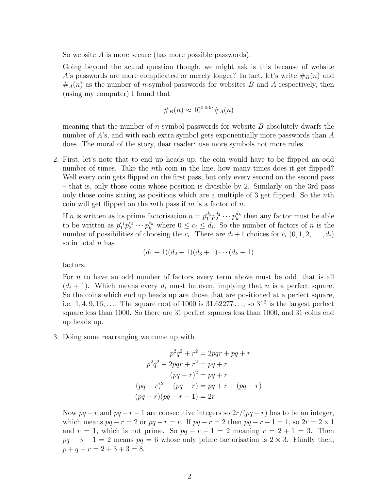So website A is more secure (has more possible passwords).

Going beyond the actual question though, we might ask is this because of website A's passwords are more complicated or merely longer? In fact, let's write  $\#_B(n)$  and  $#_A(n)$  as the number of *n*-symbol passwords for websites B and A respectively, then (using my computer) I found that

$$
\#_B(n) \approx 10^{0.23n} \#_A(n)
$$

meaning that the number of *n*-symbol passwords for website  $B$  absolutely dwarfs the number of A's, and with each extra symbol gets exponentially more passwords than A does. The moral of the story, dear reader: use more symbols not more rules.

2. First, let's note that to end up heads up, the coin would have to be flipped an odd number of times. Take the *n*th coin in the line, how many times does it get flipped? Well every coin gets flipped on the first pass, but only every second on the second pass – that is, only those coins whose position is divisible by 2. Similarly on the 3rd pass only those coins sitting as positions which are a multiple of 3 get flipped. So the nth coin will get flipped on the mth pass if  $m$  is a factor of  $n$ .

If *n* is written as its prime factorisation  $n = p_1^{d_1} p_2^{d_2} \cdots p_k^{d_k}$  then any factor must be able to be written as  $p_1^{c_1}p_2^{c_2}\cdots p_k^{c_k}$  where  $0 \leq c_i \leq d_i$ . So the number of factors of n is the number of possibilities of choosing the  $c_i$ . There are  $d_i + 1$  choices for  $c_i$   $(0, 1, 2, \ldots, d_i)$ so in total  $n$  has

$$
(d_1+1)(d_2+1)(d_3+1)\cdots(d_k+1)
$$

factors.

For n to have an odd number of factors every term above must be odd, that is all  $(d_i + 1)$ . Which means every  $d_i$  must be even, implying that n is a perfect square. So the coins which end up heads up are those that are positioned at a perfect square, i.e.  $1, 4, 9, 16, \ldots$  The square root of 1000 is  $31.62277 \ldots$ , so  $31^2$  is the largest perfect square less than 1000. So there are 31 perfect squares less than 1000, and 31 coins end up heads up.

3. Doing some rearranging we come up with

$$
p^{2}q^{2} + r^{2} = 2pqr + pq + r
$$

$$
p^{2}q^{2} - 2pqr + r^{2} = pq + r
$$

$$
(pq - r)^{2} = pq + r
$$

$$
(pq - r)^{2} - (pq - r) = pq + r - (pq - r)
$$

$$
(pq - r)(pq - r - 1) = 2r
$$

Now  $pq - r$  and  $pq - r - 1$  are consecutive integers so  $2r/(pq - r)$  has to be an integer, which means  $pq - r = 2$  or  $pq - r = r$ . If  $pq - r = 2$  then  $pq - r - 1 = 1$ , so  $2r = 2 \times 1$ and  $r = 1$ , which is not prime. So  $pq - r - 1 = 2$  meaning  $r = 2 + 1 = 3$ . Then  $pq - 3 - 1 = 2$  means  $pq = 6$  whose only prime factorisation is  $2 \times 3$ . Finally then,  $p+q+r=2+3+3=8.$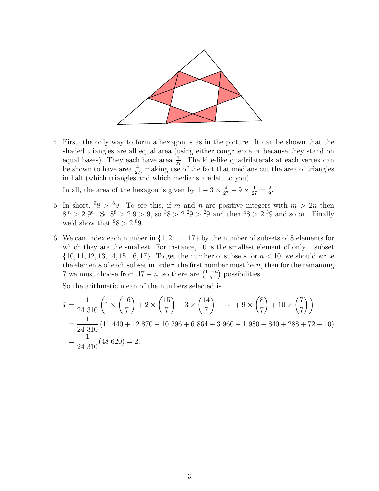

4. First, the only way to form a hexagon is as in the picture. It can be shown that the shaded triangles are all equal area (using either congruence or because they stand on equal bases). They each have area  $\frac{1}{27}$ . The kite-like quadrilaterals at each vertex can be shown to have area  $\frac{4}{27}$ , making use of the fact that medians cut the area of triangles in half (which triangles and which medians are left to you).

In all, the area of the hexagon is given by  $1 - 3 \times \frac{4}{27} - 9 \times \frac{1}{27} = \frac{2}{9}$  $\frac{2}{9}$ .

- 5. In short,  $98 > 9$ . To see this, if m and n are positive integers with  $m > 2n$  then  $8<sup>m</sup> > 2.9<sup>n</sup>$ . So  $8<sup>8</sup> > 2.9 > 9$ , so  $38 > 2.29 > 29$  and then  $48 > 2.39$  and so on. Finally we'd show that  $98 > 2.89$ .
- 6. We can index each number in  $\{1, 2, \ldots, 17\}$  by the number of subsets of 8 elements for which they are the smallest. For instance, 10 is the smallest element of only 1 subset  $\{10, 11, 12, 13, 14, 15, 16, 17\}$ . To get the number of subsets for  $n < 10$ , we should write the elements of each subset in order: the first number must be  $n$ , then for the remaining 7 we must choose from  $17 - n$ , so there are  $\binom{17-n}{7}$  $\binom{-n}{7}$  possibilities.

So the arithmetic mean of the numbers selected is

$$
\bar{x} = \frac{1}{24\ 310} \left( 1 \times \binom{16}{7} + 2 \times \binom{15}{7} + 3 \times \binom{14}{7} + \dots + 9 \times \binom{8}{7} + 10 \times \binom{7}{7} \right)
$$
\n
$$
= \frac{1}{24\ 310} \left( 11\ 440 + 12\ 870 + 10\ 296 + 6\ 864 + 3\ 960 + 1\ 980 + 840 + 288 + 72 + 10 \right)
$$
\n
$$
= \frac{1}{24\ 310} \left( 48\ 620 \right) = 2.
$$